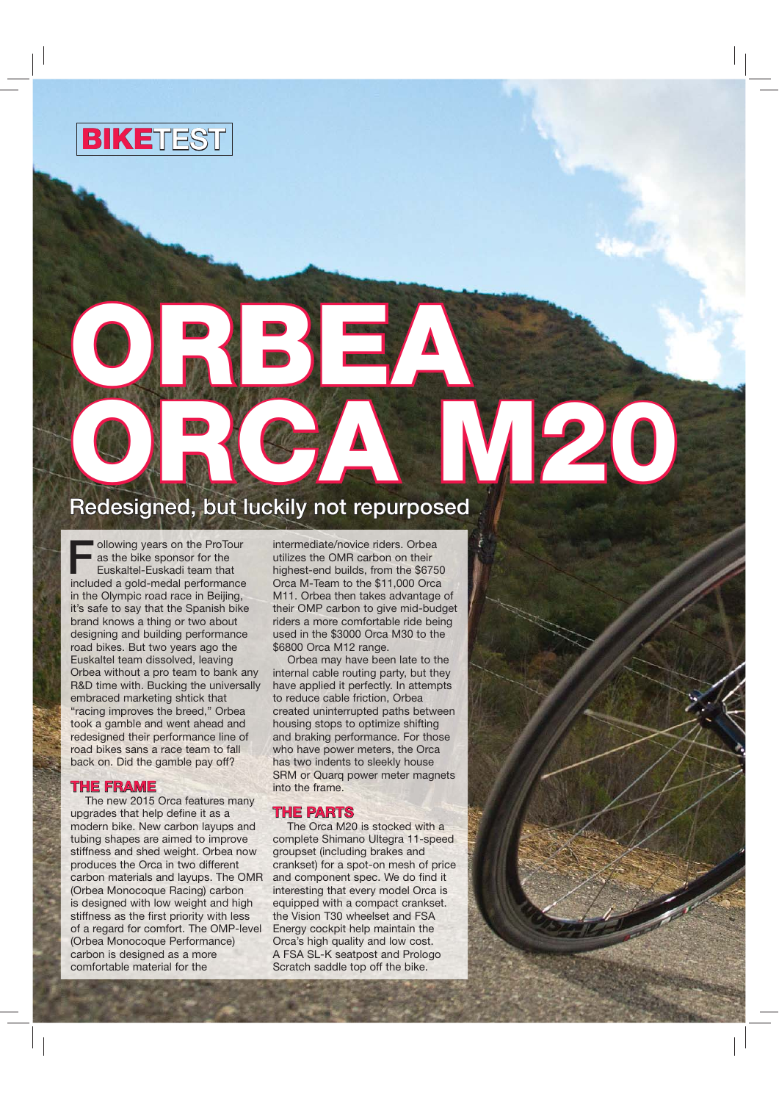

# **ORBEA ORCA M20**

# **Redesigned, but luckily not repurposed**

**Following years on the ProTour** as the bike sponsor for the Euskaltel-Euskadi team that included a gold-medal performance in the Olympic road race in Beijing, it's safe to say that the Spanish bike brand knows a thing or two about designing and building performance road bikes. But two years ago the Euskaltel team dissolved, leaving Orbea without a pro team to bank any R&D time with. Bucking the universally embraced marketing shtick that "racing improves the breed," Orbea took a gamble and went ahead and redesigned their performance line of road bikes sans a race team to fall back on. Did the gamble pay off?

## **THE FRAME**

The new 2015 Orca features many upgrades that help define it as a modern bike. New carbon layups and tubing shapes are aimed to improve stiffness and shed weight. Orbea now produces the Orca in two different carbon materials and layups. The OMR (Orbea Monocoque Racing) carbon is designed with low weight and high stiffness as the first priority with less of a regard for comfort. The OMP-level (Orbea Monocoque Performance) carbon is designed as a more comfortable material for the

intermediate/novice riders. Orbea utilizes the OMR carbon on their highest-end builds, from the \$6750 Orca M-Team to the \$11,000 Orca M11. Orbea then takes advantage of their OMP carbon to give mid-budget riders a more comfortable ride being used in the \$3000 Orca M30 to the \$6800 Orca M12 range.

Orbea may have been late to the internal cable routing party, but they have applied it perfectly. In attempts to reduce cable friction, Orbea created uninterrupted paths between housing stops to optimize shifting and braking performance. For those who have power meters, the Orca has two indents to sleekly house SRM or Quarq power meter magnets into the frame.

#### **THE PARTS**

The Orca M20 is stocked with a complete Shimano Ultegra 11-speed groupset (including brakes and crankset) for a spot-on mesh of price and component spec. We do find it interesting that every model Orca is equipped with a compact crankset. the Vision T30 wheelset and FSA Energy cockpit help maintain the Orca's high quality and low cost. A FSA SL-K seatpost and Prologo Scratch saddle top off the bike.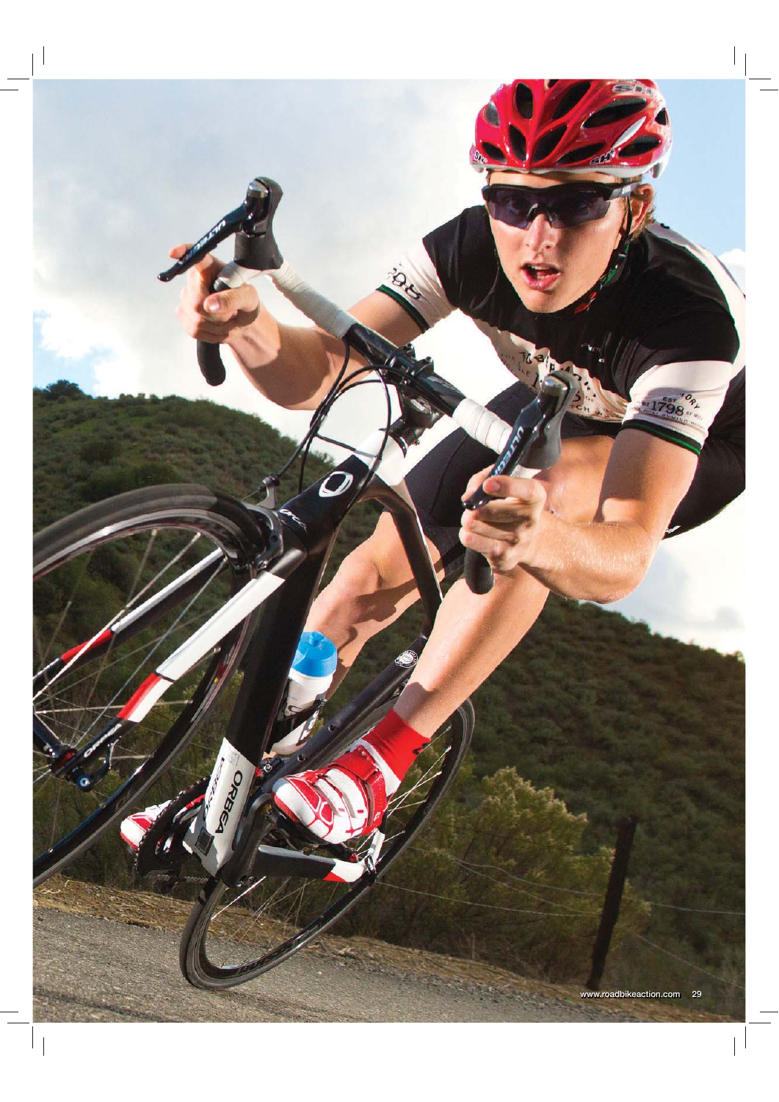